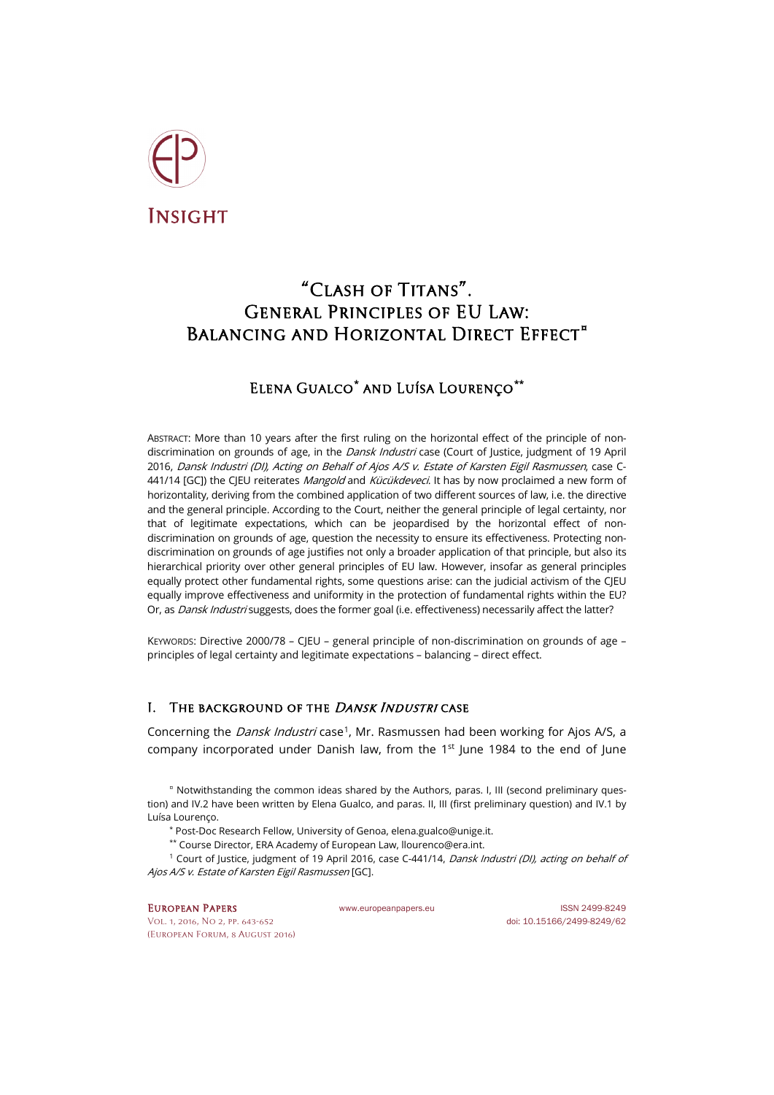

# "Clash of Titans". General Principles of EU Law: BALANCING AND HORIZONTAL DIRECT EFFECT<sup>[¤](#page-0-0)</sup>

# Elena Gualco**[\\*](#page-0-1)** and Luísa Lourenço**[\\*\\*](#page-0-2)**

ABSTRACT: More than 10 years after the first ruling on the horizontal effect of the principle of nondiscrimination on grounds of age, in the *Dansk Industri* case (Court of Justice, judgment of 19 April 2016, Dansk Industri (DI), Acting on Behalf of Ajos A/S v. Estate of Karsten Eigil Rasmussen, case C-441/14 [GC]) the CIEU reiterates *Mangold* and *Kücükdeveci*. It has by now proclaimed a new form of horizontality, deriving from the combined application of two different sources of law, i.e. the directive and the general principle. According to the Court, neither the general principle of legal certainty, nor that of legitimate expectations, which can be jeopardised by the horizontal effect of nondiscrimination on grounds of age, question the necessity to ensure its effectiveness. Protecting nondiscrimination on grounds of age justifies not only a broader application of that principle, but also its hierarchical priority over other general principles of EU law. However, insofar as general principles equally protect other fundamental rights, some questions arise: can the judicial activism of the CJEU equally improve effectiveness and uniformity in the protection of fundamental rights within the EU? Or, as *Dansk Industri* suggests, does the former goal (i.e. effectiveness) necessarily affect the latter?

KEYWORDS: Directive 2000/78 – CJEU – general principle of non-discrimination on grounds of age – principles of legal certainty and legitimate expectations – balancing – direct effect.

## I. THE BACKGROUND OF THE *DANSK INDUSTRI* CASE

Concerning the *Dansk Industri* case<sup>1</sup>, Mr. Rasmussen had been working for Ajos A/S, a company incorporated under Danish law, from the  $1<sup>st</sup>$  lune 1984 to the end of lune

<span id="page-0-0"></span>¤ Notwithstanding the common ideas shared by the Authors, paras. I, III (second preliminary question) and IV.2 have been written by Elena Gualco, and paras. II, III (first preliminary question) and IV.1 by Luísa Lourenço.

\* Post-Doc Research Fellow, University of Genoa[, elena.gualco@unige.it.](mailto:elena.gualco@unige.it)

\*\* Course Director, ERA Academy of European Law[, llourenco@era.int.](mailto:llourenco@era.int)

<span id="page-0-3"></span><span id="page-0-2"></span><span id="page-0-1"></span><sup>1</sup> Court of Justice, judgment of 19 April 2016, case C-441/14, *Dansk Industri (DI), acting on behalf of* Ajos A/S v. Estate of Karsten Eigil Rasmussen [GC].

#### EUROPEAN PAPERS WWW.europeanpapers.eu ISSN 2499-8249

[Vol. 1, 2016, No 2,](http://www.europeanpapers.eu/en/e-journal/EP_eJ_2016_2_European_Forum) pp. 643-652 doi[: 10.15166/2499-8249/62](http://dx.doi.org/10.15166/2499-8249/62) (European Forum, 8 August 2016)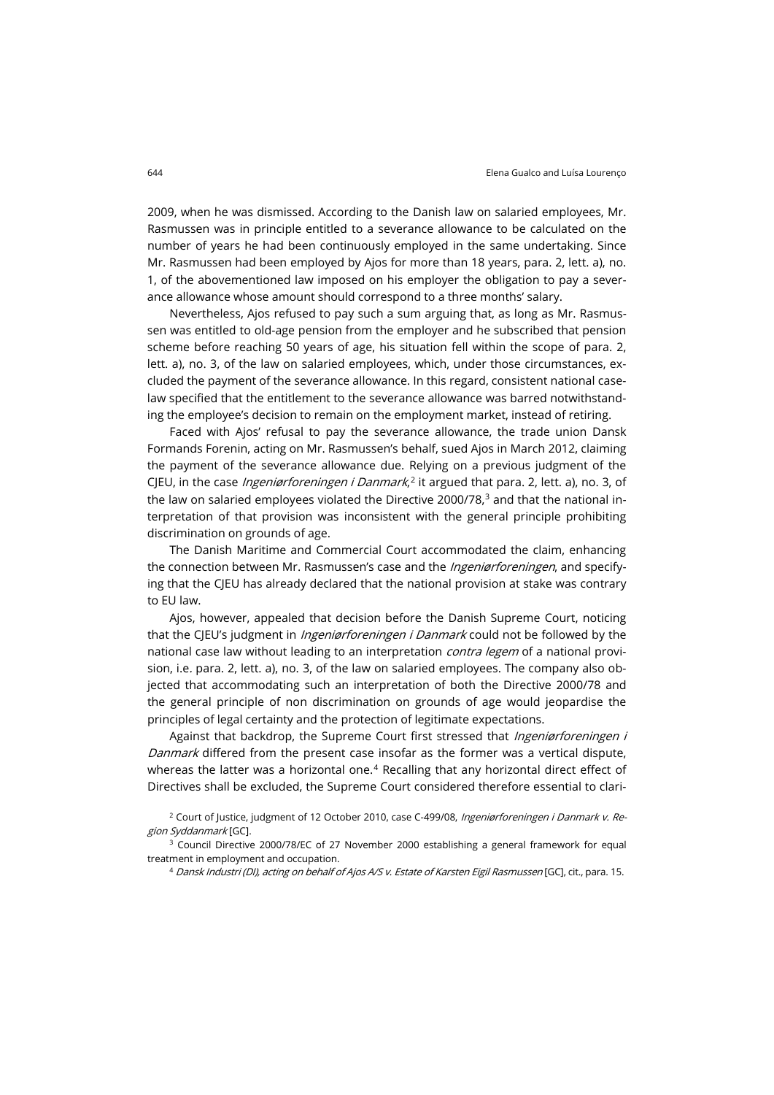2009, when he was dismissed. According to the Danish law on salaried employees, Mr. Rasmussen was in principle entitled to a severance allowance to be calculated on the number of years he had been continuously employed in the same undertaking. Since Mr. Rasmussen had been employed by Ajos for more than 18 years, para. 2, lett. a), no. 1, of the abovementioned law imposed on his employer the obligation to pay a severance allowance whose amount should correspond to a three months' salary.

Nevertheless, Ajos refused to pay such a sum arguing that, as long as Mr. Rasmussen was entitled to old-age pension from the employer and he subscribed that pension scheme before reaching 50 years of age, his situation fell within the scope of para. 2, lett. a), no. 3, of the law on salaried employees, which, under those circumstances, excluded the payment of the severance allowance. In this regard, consistent national caselaw specified that the entitlement to the severance allowance was barred notwithstanding the employee's decision to remain on the employment market, instead of retiring.

Faced with Ajos' refusal to pay the severance allowance, the trade union Dansk Formands Forenin, acting on Mr. Rasmussen's behalf, sued Ajos in March 2012, claiming the payment of the severance allowance due. Relying on a previous judgment of the CJEU, in the case *Ingeniørforeningen i Danmark*,<sup>[2](#page-1-0)</sup> it argued that para. 2, lett. a), no. 3, of the law on salaried employees violated the Directive 2000/78, $3$  and that the national interpretation of that provision was inconsistent with the general principle prohibiting discrimination on grounds of age.

The Danish Maritime and Commercial Court accommodated the claim, enhancing the connection between Mr. Rasmussen's case and the *Ingeniørforeningen*, and specifying that the CJEU has already declared that the national provision at stake was contrary to EU law.

Ajos, however, appealed that decision before the Danish Supreme Court, noticing that the CJEU's judgment in *Ingeniørforeningen i Danmark* could not be followed by the national case law without leading to an interpretation *contra legem* of a national provision, i.e. para. 2, lett. a), no. 3, of the law on salaried employees. The company also objected that accommodating such an interpretation of both the Directive 2000/78 and the general principle of non discrimination on grounds of age would jeopardise the principles of legal certainty and the protection of legitimate expectations.

Against that backdrop, the Supreme Court first stressed that Ingeniørforeningen i Danmark differed from the present case insofar as the former was a vertical dispute, whereas the latter was a horizontal one. $4$  Recalling that any horizontal direct effect of Directives shall be excluded, the Supreme Court considered therefore essential to clari-

<span id="page-1-2"></span><span id="page-1-1"></span><sup>3</sup> Council Directive 2000/78/EC of 27 November 2000 establishing a general framework for equal treatment in employment and occupation.

<sup>4</sup> Dansk Industri (DI), acting on behalf of Ajos A/S v. Estate of Karsten Eigil Rasmussen [GC], cit., para. 15.

<span id="page-1-0"></span><sup>&</sup>lt;sup>2</sup> Court of Justice, judgment of 12 October 2010, case C-499/08, Ingeniørforeningen i Danmark v. Region Syddanmark [GC].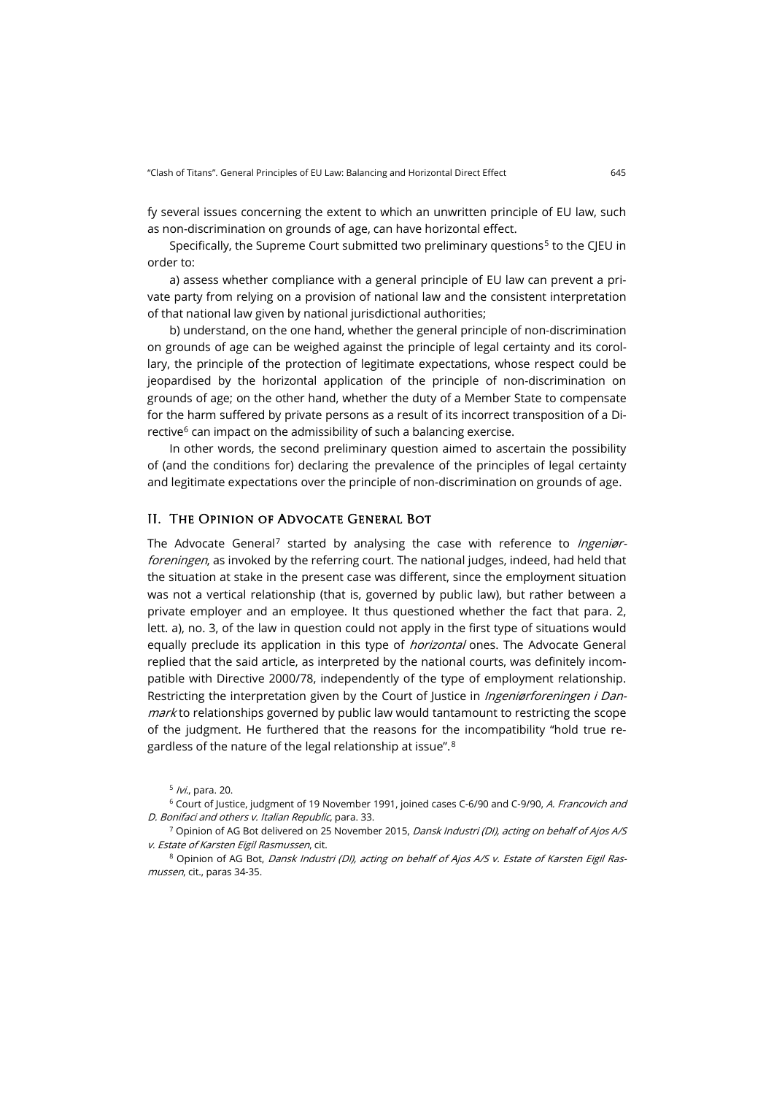fy several issues concerning the extent to which an unwritten principle of EU law, such as non-discrimination on grounds of age, can have horizontal effect.

Specifically, the Supreme Court submitted two preliminary questions<sup>[5](#page-2-0)</sup> to the CJEU in order to:

a) assess whether compliance with a general principle of EU law can prevent a private party from relying on a provision of national law and the consistent interpretation of that national law given by national jurisdictional authorities;

b) understand, on the one hand, whether the general principle of non-discrimination on grounds of age can be weighed against the principle of legal certainty and its corollary, the principle of the protection of legitimate expectations, whose respect could be jeopardised by the horizontal application of the principle of non-discrimination on grounds of age; on the other hand, whether the duty of a Member State to compensate for the harm suffered by private persons as a result of its incorrect transposition of a Directive $6$  can impact on the admissibility of such a balancing exercise.

In other words, the second preliminary question aimed to ascertain the possibility of (and the conditions for) declaring the prevalence of the principles of legal certainty and legitimate expectations over the principle of non-discrimination on grounds of age.

#### II. The Opinion of Advocate General Bot

The Advocate General<sup>[7](#page-2-2)</sup> started by analysing the case with reference to *Ingeniør*foreningen, as invoked by the referring court. The national judges, indeed, had held that the situation at stake in the present case was different, since the employment situation was not a vertical relationship (that is, governed by public law), but rather between a private employer and an employee. It thus questioned whether the fact that para. 2, lett. a), no. 3, of the law in question could not apply in the first type of situations would equally preclude its application in this type of *horizontal* ones. The Advocate General replied that the said article, as interpreted by the national courts, was definitely incompatible with Directive 2000/78, independently of the type of employment relationship. Restricting the interpretation given by the Court of Justice in *Ingeniørforeningen i Dan*mark to relationships governed by public law would tantamount to restricting the scope of the judgment. He furthered that the reasons for the incompatibility "hold true regardless of the nature of the legal relationship at issue".[8](#page-2-3)

<span id="page-2-3"></span><sup>8</sup> Opinion of AG Bot, Dansk Industri (DI), acting on behalf of Ajos A/S v. Estate of Karsten Eigil Rasmussen, cit., paras 34-35.

 $5$  /vi., para. 20.

<span id="page-2-1"></span><span id="page-2-0"></span><sup>&</sup>lt;sup>6</sup> Court of Justice, judgment of 19 November 1991, joined cases C-6/90 and C-9/90, A. Francovich and D. Bonifaci and others v. Italian Republic, para. 33.

<span id="page-2-2"></span><sup>&</sup>lt;sup>7</sup> Opinion of AG Bot delivered on 25 November 2015, *Dansk Industri (DI), acting on behalf of Ajos A/S* v. Estate of Karsten Eigil Rasmussen, cit.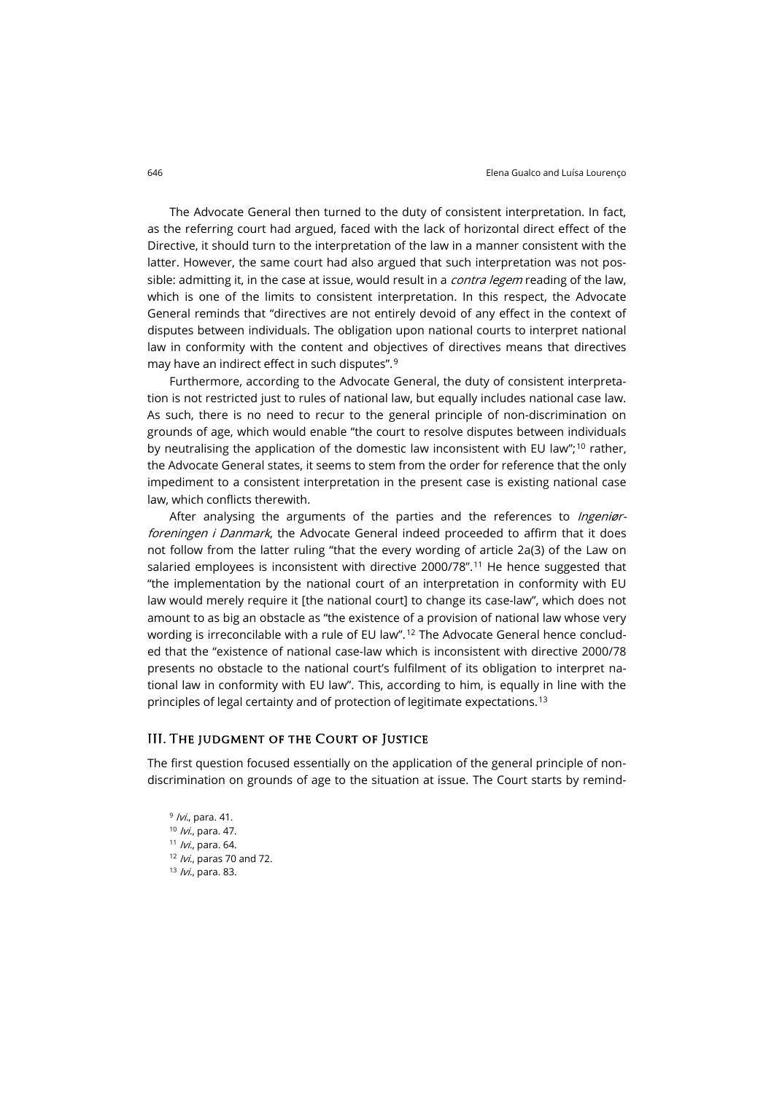The Advocate General then turned to the duty of consistent interpretation. In fact, as the referring court had argued, faced with the lack of horizontal direct effect of the Directive, it should turn to the interpretation of the law in a manner consistent with the latter. However, the same court had also argued that such interpretation was not possible: admitting it, in the case at issue, would result in a *contra legem* reading of the law, which is one of the limits to consistent interpretation. In this respect, the Advocate General reminds that "directives are not entirely devoid of any effect in the context of disputes between individuals. The obligation upon national courts to interpret national law in conformity with the content and objectives of directives means that directives may have an indirect effect in such disputes".[9](#page-3-0)

Furthermore, according to the Advocate General, the duty of consistent interpretation is not restricted just to rules of national law, but equally includes national case law. As such, there is no need to recur to the general principle of non-discrimination on grounds of age, which would enable "the court to resolve disputes between individuals by neutralising the application of the domestic law inconsistent with EU law";<sup>[10](#page-3-1)</sup> rather, the Advocate General states, it seems to stem from the order for reference that the only impediment to a consistent interpretation in the present case is existing national case law, which conflicts therewith.

After analysing the arguments of the parties and the references to *Ingeniør*foreningen i Danmark, the Advocate General indeed proceeded to affirm that it does not follow from the latter ruling "that the every wording of article 2a(3) of the Law on salaried employees is inconsistent with directive 2000/78".<sup>[11](#page-3-2)</sup> He hence suggested that "the implementation by the national court of an interpretation in conformity with EU law would merely require it [the national court] to change its case-law", which does not amount to as big an obstacle as "the existence of a provision of national law whose very wording is irreconcilable with a rule of EU law".<sup>[12](#page-3-3)</sup> The Advocate General hence concluded that the "existence of national case-law which is inconsistent with directive 2000/78 presents no obstacle to the national court's fulfilment of its obligation to interpret national law in conformity with EU law". This, according to him, is equally in line with the principles of legal certainty and of protection of legitimate expectations.<sup>[13](#page-3-4)</sup>

#### III. The judgment of the Court of Justice

<span id="page-3-2"></span><span id="page-3-1"></span><span id="page-3-0"></span>The first question focused essentially on the application of the general principle of nondiscrimination on grounds of age to the situation at issue. The Court starts by remind-

<span id="page-3-4"></span><span id="page-3-3"></span> /vi., para. 41. *Ivi.*, para. 47. /vi., para. 64. /vi., paras 70 and 72. *Ivi.*, para. 83.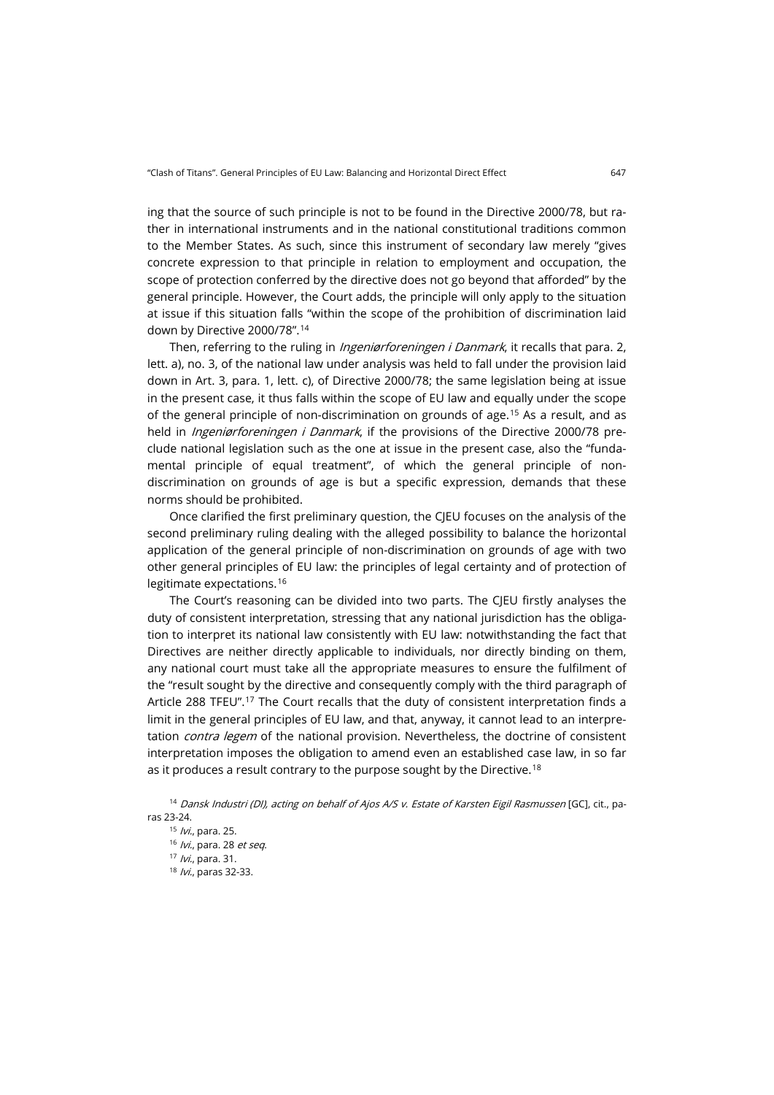ing that the source of such principle is not to be found in the Directive 2000/78, but rather in international instruments and in the national constitutional traditions common to the Member States. As such, since this instrument of secondary law merely "gives concrete expression to that principle in relation to employment and occupation, the scope of protection conferred by the directive does not go beyond that afforded" by the general principle. However, the Court adds, the principle will only apply to the situation at issue if this situation falls "within the scope of the prohibition of discrimination laid down by Directive 2000/78".[14](#page-4-0)

Then, referring to the ruling in *Ingeniørforeningen i Danmark*, it recalls that para. 2, lett. a), no. 3, of the national law under analysis was held to fall under the provision laid down in Art. 3, para. 1, lett. c), of Directive 2000/78; the same legislation being at issue in the present case, it thus falls within the scope of EU law and equally under the scope of the general principle of non-discrimination on grounds of age.[15](#page-4-1) As a result, and as held in *Ingeniørforeningen i Danmark*, if the provisions of the Directive 2000/78 preclude national legislation such as the one at issue in the present case, also the "fundamental principle of equal treatment", of which the general principle of nondiscrimination on grounds of age is but a specific expression, demands that these norms should be prohibited.

Once clarified the first preliminary question, the CJEU focuses on the analysis of the second preliminary ruling dealing with the alleged possibility to balance the horizontal application of the general principle of non-discrimination on grounds of age with two other general principles of EU law: the principles of legal certainty and of protection of legitimate expectations.[16](#page-4-2)

The Court's reasoning can be divided into two parts. The CJEU firstly analyses the duty of consistent interpretation, stressing that any national jurisdiction has the obligation to interpret its national law consistently with EU law: notwithstanding the fact that Directives are neither directly applicable to individuals, nor directly binding on them, any national court must take all the appropriate measures to ensure the fulfilment of the "result sought by the directive and consequently comply with the third paragraph of Article 288 TFEU".[17](#page-4-3) The Court recalls that the duty of consistent interpretation finds a limit in the general principles of EU law, and that, anyway, it cannot lead to an interpretation *contra legem* of the national provision. Nevertheless, the doctrine of consistent interpretation imposes the obligation to amend even an established case law, in so far as it produces a result contrary to the purpose sought by the Directive.<sup>[18](#page-4-4)</sup>

<span id="page-4-4"></span><span id="page-4-3"></span><span id="page-4-2"></span><span id="page-4-1"></span><span id="page-4-0"></span><sup>&</sup>lt;sup>14</sup> Dansk Industri (DI), acting on behalf of Ajos A/S v. Estate of Karsten Eigil Rasmussen [GC], cit., paras 23-24.

 $15$  /vi., para. 25. 16 /vi., para. 28 et seq. 17 *Ivi.*, para. 31. 18 *Ivi.*, paras 32-33.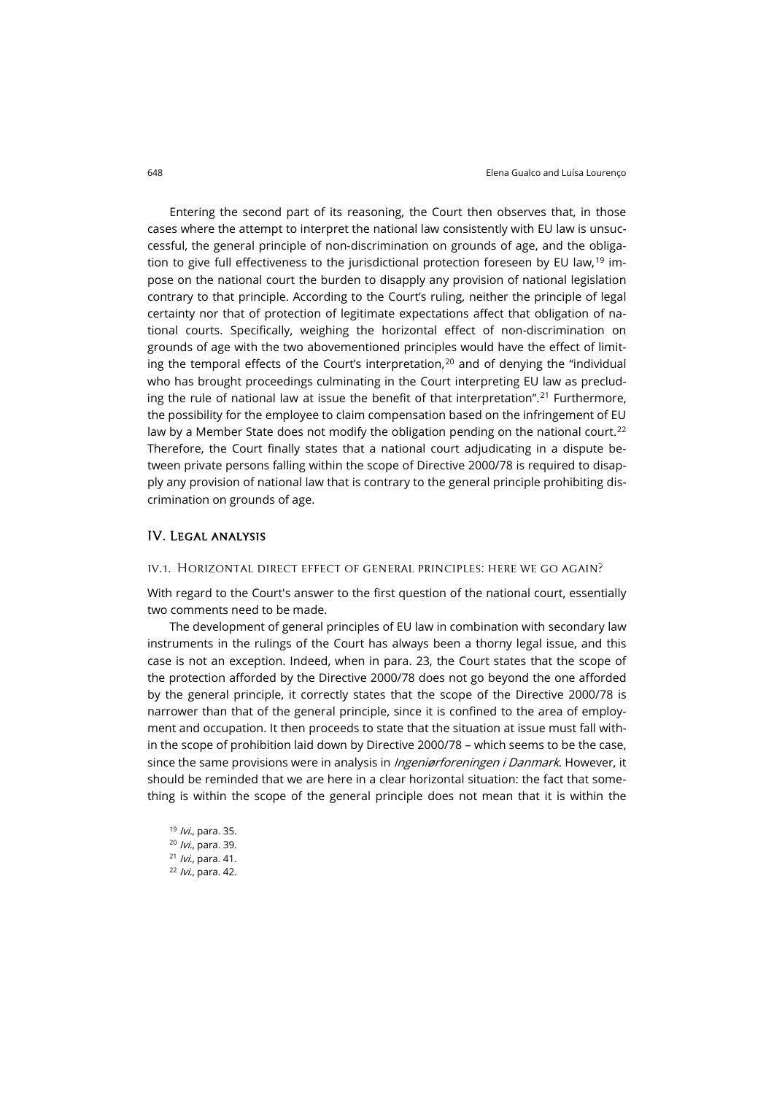Entering the second part of its reasoning, the Court then observes that, in those cases where the attempt to interpret the national law consistently with EU law is unsuccessful, the general principle of non-discrimination on grounds of age, and the obliga-tion to give full effectiveness to the jurisdictional protection foreseen by EU law,<sup>[19](#page-5-0)</sup> impose on the national court the burden to disapply any provision of national legislation contrary to that principle. According to the Court's ruling, neither the principle of legal certainty nor that of protection of legitimate expectations affect that obligation of national courts. Specifically, weighing the horizontal effect of non-discrimination on grounds of age with the two abovementioned principles would have the effect of limiting the temporal effects of the Court's interpretation, $20$  and of denying the "individual who has brought proceedings culminating in the Court interpreting EU law as preclud-ing the rule of national law at issue the benefit of that interpretation".<sup>[21](#page-5-2)</sup> Furthermore, the possibility for the employee to claim compensation based on the infringement of EU law by a Member State does not modify the obligation pending on the national court.<sup>[22](#page-5-3)</sup> Therefore, the Court finally states that a national court adjudicating in a dispute between private persons falling within the scope of Directive 2000/78 is required to disapply any provision of national law that is contrary to the general principle prohibiting discrimination on grounds of age.

#### IV. Legal analysis

#### iv.1. Horizontal direct effect of general principles: here we go again?

With regard to the Court's answer to the first question of the national court, essentially two comments need to be made.

The development of general principles of EU law in combination with secondary law instruments in the rulings of the Court has always been a thorny legal issue, and this case is not an exception. Indeed, when in para. 23, the Court states that the scope of the protection afforded by the Directive 2000/78 does not go beyond the one afforded by the general principle, it correctly states that the scope of the Directive 2000/78 is narrower than that of the general principle, since it is confined to the area of employment and occupation. It then proceeds to state that the situation at issue must fall within the scope of prohibition laid down by Directive 2000/78 – which seems to be the case, since the same provisions were in analysis in *Ingeniørforeningen i Danmark*. However, it should be reminded that we are here in a clear horizontal situation: the fact that something is within the scope of the general principle does not mean that it is within the

<span id="page-5-3"></span><span id="page-5-2"></span><span id="page-5-1"></span><span id="page-5-0"></span>19 *Ivi.*, para. 35. <sup>20</sup> /vi., para. 39. <sup>21</sup> /vi., para. 41. <sup>22</sup> /vi., para. 42.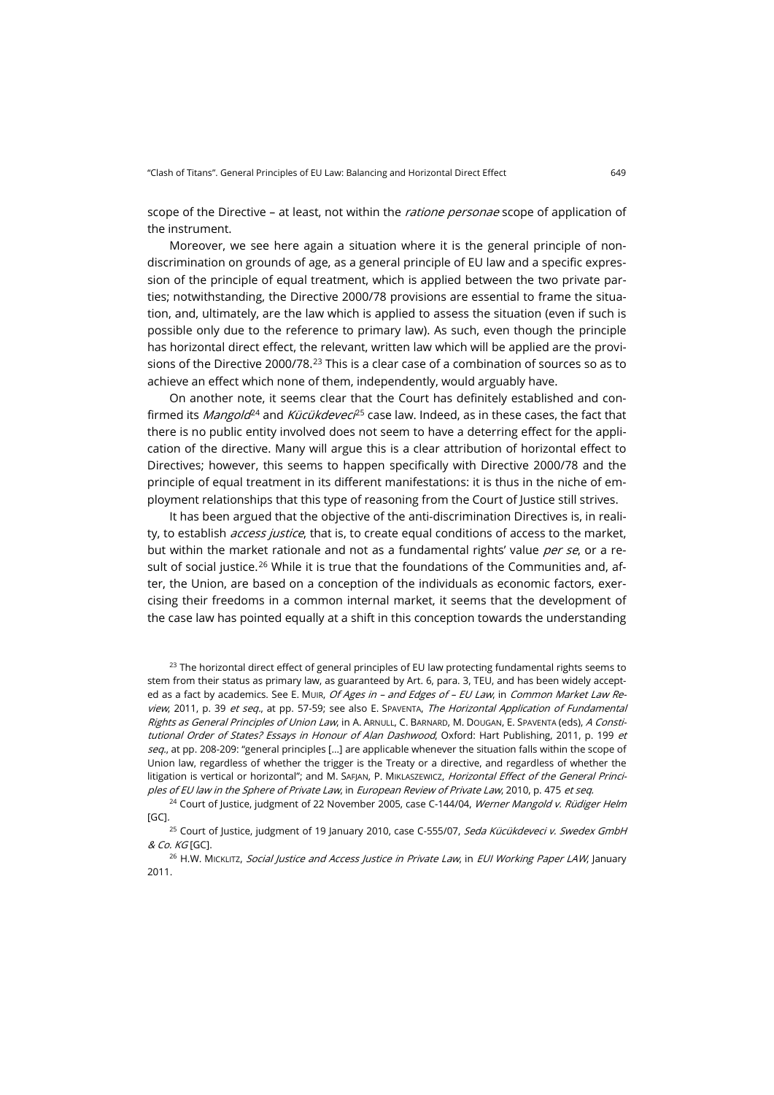scope of the Directive - at least, not within the ratione personae scope of application of the instrument.

Moreover, we see here again a situation where it is the general principle of nondiscrimination on grounds of age, as a general principle of EU law and a specific expression of the principle of equal treatment, which is applied between the two private parties; notwithstanding, the Directive 2000/78 provisions are essential to frame the situation, and, ultimately, are the law which is applied to assess the situation (even if such is possible only due to the reference to primary law). As such, even though the principle has horizontal direct effect, the relevant, written law which will be applied are the provi-sions of the Directive 2000/78.<sup>[23](#page-6-0)</sup> This is a clear case of a combination of sources so as to achieve an effect which none of them, independently, would arguably have.

On another note, it seems clear that the Court has definitely established and confirmed its *Mangold*<sup>[24](#page-6-1)</sup> and *Kücükdevec*<sup>[25](#page-6-2)</sup> case law. Indeed, as in these cases, the fact that there is no public entity involved does not seem to have a deterring effect for the application of the directive. Many will argue this is a clear attribution of horizontal effect to Directives; however, this seems to happen specifically with Directive 2000/78 and the principle of equal treatment in its different manifestations: it is thus in the niche of employment relationships that this type of reasoning from the Court of Justice still strives.

It has been argued that the objective of the anti-discrimination Directives is, in reality, to establish *access justice*, that is, to create equal conditions of access to the market, but within the market rationale and not as a fundamental rights' value per se, or a re-sult of social justice.<sup>[26](#page-6-3)</sup> While it is true that the foundations of the Communities and, after, the Union, are based on a conception of the individuals as economic factors, exercising their freedoms in a common internal market, it seems that the development of the case law has pointed equally at a shift in this conception towards the understanding

<span id="page-6-0"></span> $23$  The horizontal direct effect of general principles of EU law protecting fundamental rights seems to stem from their status as primary law, as guaranteed by Art. 6, para. 3, TEU, and has been widely accepted as a fact by academics. See E. Mulk, Of Ages in - and Edges of - EU Law, in Common Market Law Review, 2011, p. 39 et seq., at pp. 57-59; see also E. SPAVENTA, The Horizontal Application of Fundamental Rights as General Principles of Union Law, in A. ARNULL, C. BARNARD, M. DOUGAN, E. SPAVENTA (eds), A Constitutional Order of States? Essays in Honour of Alan Dashwood, Oxford: Hart Publishing, 2011, p. 199 et seq., at pp. 208-209: "general principles [...] are applicable whenever the situation falls within the scope of Union law, regardless of whether the trigger is the Treaty or a directive, and regardless of whether the litigation is vertical or horizontal"; and M. SAFJAN, P. MIKLASZEWICZ, Horizontal Effect of the General Principles of EU law in the Sphere of Private Law, in European Review of Private Law, 2010, p. 475 et seq.

<span id="page-6-1"></span><sup>24</sup> Court of Justice, judgment of 22 November 2005, case C-144/04, Werner Mangold v. Rüdiger Helm [GC].

<span id="page-6-2"></span><sup>25</sup> Court of Justice, judgment of 19 January 2010, case C-555/07, Seda Kücükdeveci v. Swedex GmbH & Co. KG [GC].

<span id="page-6-3"></span><sup>26</sup> H.W. MICKLITZ, Social Justice and Access Justice in Private Law, in EUI Working Paper LAW, January 2011.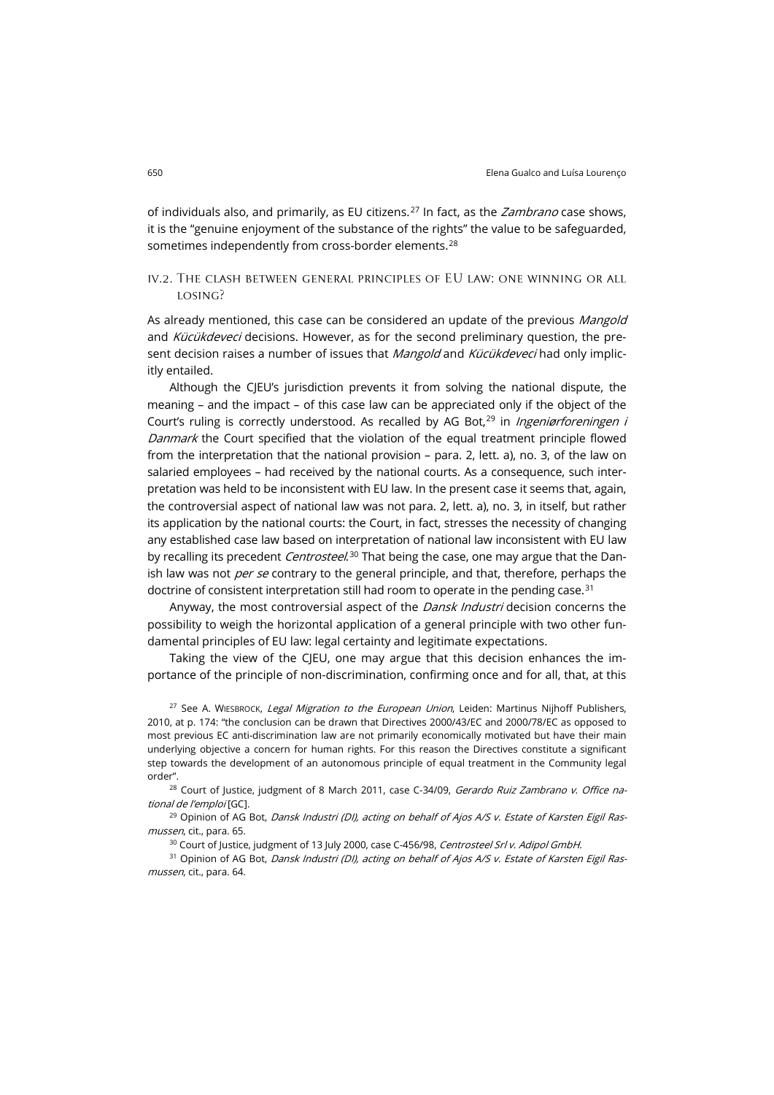of individuals also, and primarily, as EU citizens.<sup>[27](#page-7-0)</sup> In fact, as the *Zambrano* case shows, it is the "genuine enjoyment of the substance of the rights" the value to be safeguarded, sometimes independently from cross-border elements. [28](#page-7-1)

### iv.2. The clash between general principles of EU law: one winning or all losing?

As already mentioned, this case can be considered an update of the previous Mangold and Kücükdeveci decisions. However, as for the second preliminary question, the present decision raises a number of issues that Mangold and Kücükdeveci had only implicitly entailed.

Although the CJEU's jurisdiction prevents it from solving the national dispute, the meaning – and the impact – of this case law can be appreciated only if the object of the Court's ruling is correctly understood. As recalled by AG Bot, $^{29}$  $^{29}$  $^{29}$  in *Ingeniørforeningen i* Danmark the Court specified that the violation of the equal treatment principle flowed from the interpretation that the national provision – para. 2, lett. a), no. 3, of the law on salaried employees – had received by the national courts. As a consequence, such interpretation was held to be inconsistent with EU law. In the present case it seems that, again, the controversial aspect of national law was not para. 2, lett. a), no. 3, in itself, but rather its application by the national courts: the Court, in fact, stresses the necessity of changing any established case law based on interpretation of national law inconsistent with EU law by recalling its precedent *Centrosteel*.<sup>[30](#page-7-3)</sup> That being the case, one may argue that the Danish law was not *per se* contrary to the general principle, and that, therefore, perhaps the doctrine of consistent interpretation still had room to operate in the pending case.<sup>[31](#page-7-4)</sup>

Anyway, the most controversial aspect of the *Dansk Industri* decision concerns the possibility to weigh the horizontal application of a general principle with two other fundamental principles of EU law: legal certainty and legitimate expectations.

Taking the view of the CIEU, one may argue that this decision enhances the importance of the principle of non-discrimination, confirming once and for all, that, at this

<span id="page-7-0"></span><sup>27</sup> See A. WIESBROCK, Legal Migration to the European Union, Leiden: Martinus Nijhoff Publishers, 2010, at p. 174: "the conclusion can be drawn that Directives 2000/43/EC and 2000/78/EC as opposed to most previous EC anti-discrimination law are not primarily economically motivated but have their main underlying objective a concern for human rights. For this reason the Directives constitute a significant step towards the development of an autonomous principle of equal treatment in the Community legal order".

<span id="page-7-1"></span><sup>28</sup> Court of Justice, judgment of 8 March 2011, case C-34/09, Gerardo Ruiz Zambrano v. Office national de l'emploi [GC].

<span id="page-7-2"></span><sup>29</sup> Opinion of AG Bot, Dansk Industri (DI), acting on behalf of Ajos A/S v. Estate of Karsten Eigil Rasmussen, cit., para. 65.

<sup>30</sup> Court of Justice, judgment of 13 July 2000, case C-456/98, Centrosteel Srl v. Adipol GmbH.

<span id="page-7-4"></span><span id="page-7-3"></span><sup>31</sup> Opinion of AG Bot, *Dansk Industri (DI), acting on behalf of Ajos A/S v. Estate of Karsten Eigil Ras*mussen, cit., para. 64.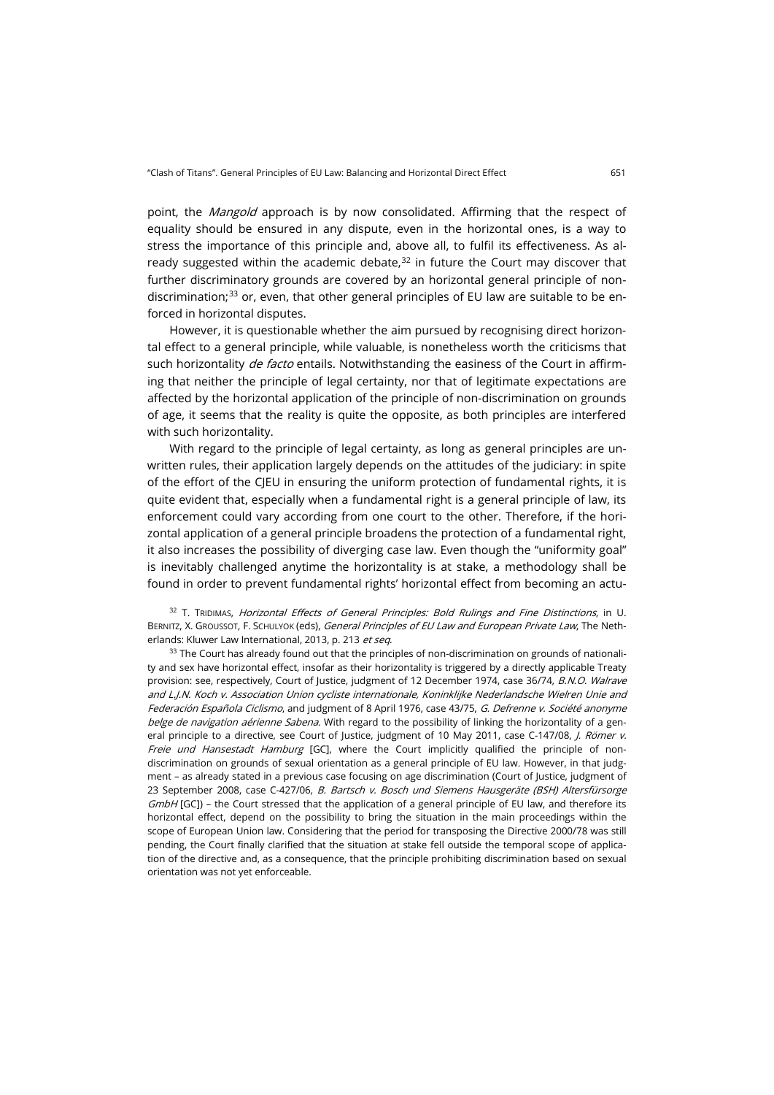point, the *Mangold* approach is by now consolidated. Affirming that the respect of equality should be ensured in any dispute, even in the horizontal ones, is a way to stress the importance of this principle and, above all, to fulfil its effectiveness. As already suggested within the academic debate, $32$  in future the Court may discover that further discriminatory grounds are covered by an horizontal general principle of non-discrimination;<sup>[33](#page-8-1)</sup> or, even, that other general principles of EU law are suitable to be enforced in horizontal disputes.

However, it is questionable whether the aim pursued by recognising direct horizontal effect to a general principle, while valuable, is nonetheless worth the criticisms that such horizontality de facto entails. Notwithstanding the easiness of the Court in affirming that neither the principle of legal certainty, nor that of legitimate expectations are affected by the horizontal application of the principle of non-discrimination on grounds of age, it seems that the reality is quite the opposite, as both principles are interfered with such horizontality.

With regard to the principle of legal certainty, as long as general principles are unwritten rules, their application largely depends on the attitudes of the judiciary: in spite of the effort of the CJEU in ensuring the uniform protection of fundamental rights, it is quite evident that, especially when a fundamental right is a general principle of law, its enforcement could vary according from one court to the other. Therefore, if the horizontal application of a general principle broadens the protection of a fundamental right, it also increases the possibility of diverging case law. Even though the "uniformity goal" is inevitably challenged anytime the horizontality is at stake, a methodology shall be found in order to prevent fundamental rights' horizontal effect from becoming an actu-

<span id="page-8-0"></span><sup>32</sup> T. TRIDIMAS, Horizontal Effects of General Principles: Bold Rulings and Fine Distinctions, in U. BERNITZ, X. GROUSSOT, F. SCHULYOK (eds), General Principles of EU Law and European Private Law, The Netherlands: Kluwer Law International, 2013, p. 213 et seq.

<span id="page-8-1"></span><sup>33</sup> The Court has already found out that the principles of non-discrimination on grounds of nationality and sex have horizontal effect, insofar as their horizontality is triggered by a directly applicable Treaty provision: see, respectively, Court of Justice, judgment of 12 December 1974, case 36/74, B.N.O. Walrave and L.J.N. Koch v. Association Union cycliste internationale, Koninklijke Nederlandsche Wielren Unie and Federación Española Ciclismo, and judgment of 8 April 1976, case 43/75, G. Defrenne v. Société anonyme belge de navigation aérienne Sabena. With regard to the possibility of linking the horizontality of a general principle to a directive, see Court of Justice, judgment of 10 May 2011, case C-147/08, J. Römer v. Freie und Hansestadt Hamburg [GC], where the Court implicitly qualified the principle of nondiscrimination on grounds of sexual orientation as a general principle of EU law. However, in that judgment – as already stated in a previous case focusing on age discrimination (Court of Justice, judgment of 23 September 2008, case C-427/06, B. Bartsch v. Bosch und Siemens Hausgeräte (BSH) Altersfürsorge  $GmbH$  [GC]) – the Court stressed that the application of a general principle of EU law, and therefore its horizontal effect, depend on the possibility to bring the situation in the main proceedings within the scope of European Union law. Considering that the period for transposing the Directive 2000/78 was still pending, the Court finally clarified that the situation at stake fell outside the temporal scope of application of the directive and, as a consequence, that the principle prohibiting discrimination based on sexual orientation was not yet enforceable.